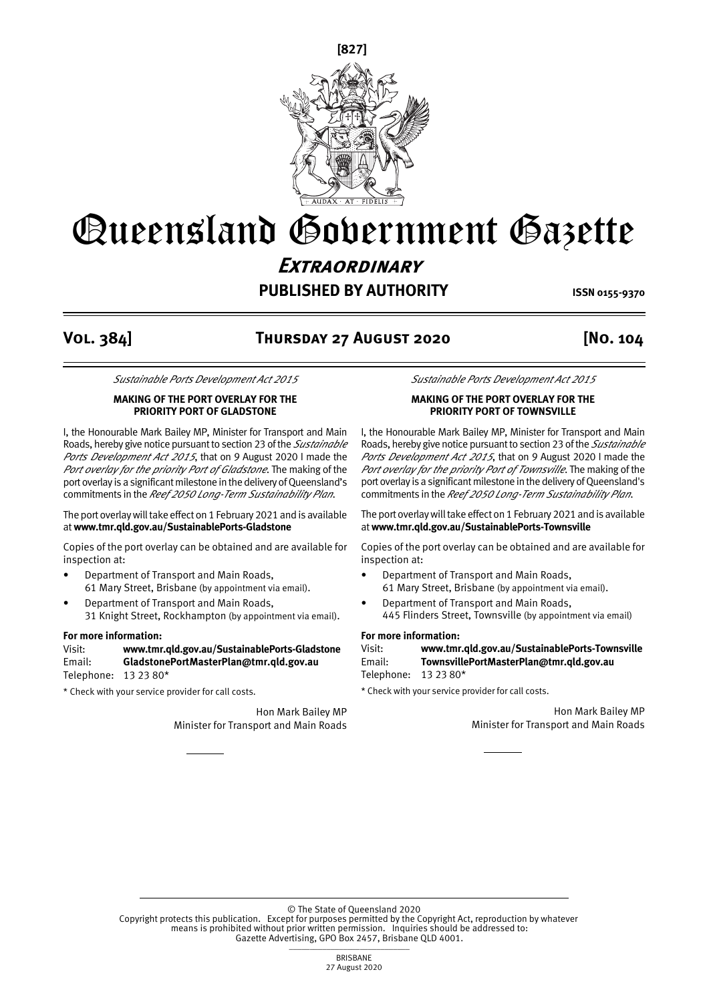

# Queensland Government Gazette

## **Extraordinary**

**PUBLISHED BY AUTHORITY ISSN 0155-9370** 

### **Vol. 384] Thursday 27 August 2020 [No. 104**

*Sustainable Ports Development Act 2015*

#### **MAKING OF THE PORT OVERLAY FOR THE PRIORITY PORT OF GLADSTONE**

I, the Honourable Mark Bailey MP, Minister for Transport and Main Roads, hereby give notice pursuant to section 23 of the *Sustainable Ports Development Act 2015*, that on 9 August 2020 I made the *Port overlay for the priority Port of Gladstone*. The making of the port overlay is a significant milestone in the delivery of Queensland's commitments in the *Reef 2050 Long-Term Sustainability Plan*.

The port overlay will take effect on 1 February 2021 and is available at **www.tmr.qld.gov.au/SustainablePorts-Gladstone**

Copies of the port overlay can be obtained and are available for inspection at:

- Department of Transport and Main Roads, 61 Mary Street, Brisbane (by appointment via email).
- Department of Transport and Main Roads, 31 Knight Street, Rockhampton (by appointment via email).

#### **For more information:**

Visit: **www.tmr.qld.gov.au/SustainablePorts-Gladstone** Email: **GladstonePortMasterPlan@tmr.qld.gov.au** Telephone: 13 23 80\*

\* Check with your service provider for call costs.

Hon Mark Bailey MP Minister for Transport and Main Roads *Sustainable Ports Development Act 2015*

#### **MAKING OF THE PORT OVERLAY FOR THE PRIORITY PORT OF TOWNSVILLE**

I, the Honourable Mark Bailey MP, Minister for Transport and Main Roads, hereby give notice pursuant to section 23 of the *Sustainable Ports Development Act 2015*, that on 9 August 2020 I made the *Port overlay for the priority Port of Townsville*. The making of the port overlay is a significant milestone in the delivery of Queensland's commitments in the *Reef 2050 Long-Term Sustainability Plan*.

The port overlay will take effect on 1 February 2021 and is available at **www.tmr.qld.gov.au/SustainablePorts-Townsville**

Copies of the port overlay can be obtained and are available for inspection at:

- Department of Transport and Main Roads, 61 Mary Street, Brisbane (by appointment via email).
- Department of Transport and Main Roads, 445 Flinders Street, Townsville (by appointment via email)

#### **For more information:**

Visit: **www.tmr.qld.gov.au/SustainablePorts-Townsville** Email: **TownsvillePortMasterPlan@tmr.qld.gov.au** Telephone: 13 23 80\*

\* Check with your service provider for call costs.

Hon Mark Bailey MP Minister for Transport and Main Roads

© The State of Queensland 2020

Copyright protects this publication. Except for purposes permitted by the Copyright Act, reproduction by whatever means is prohibited without prior written permission. Inquiries should be addressed to: Gazette Advertising, GPO Box 2457, Brisbane QLD 4001.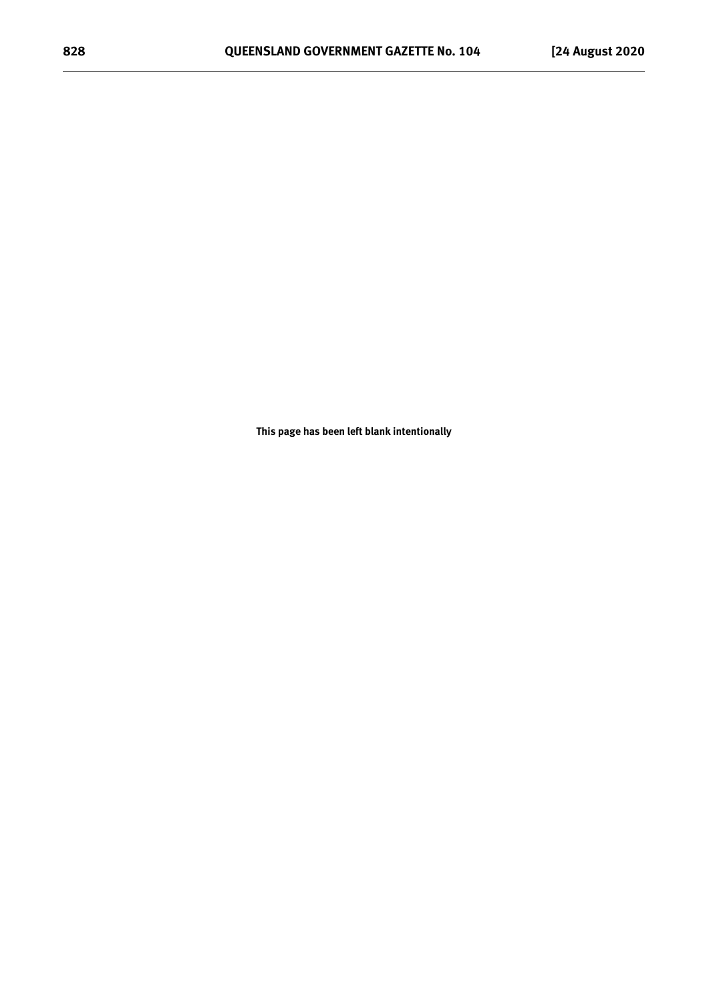**This page has been left blank intentionally**